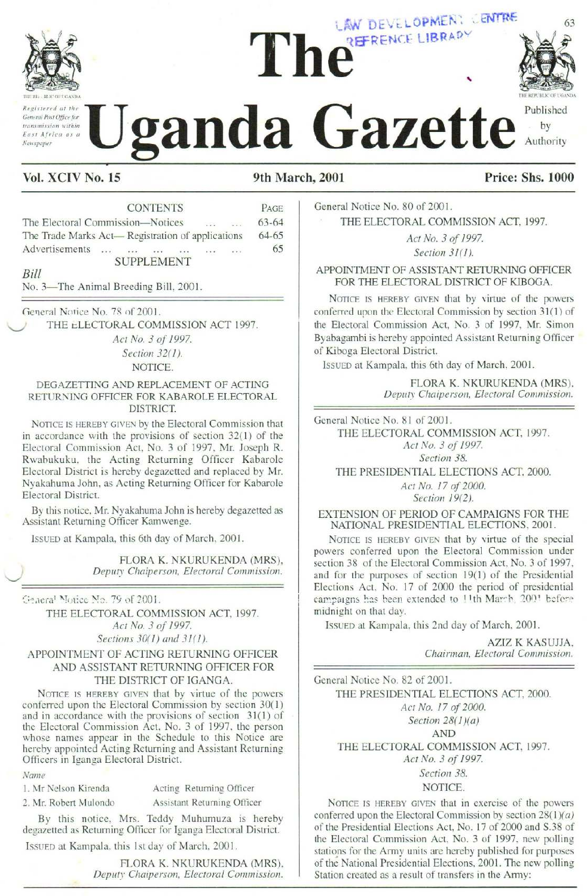

Registered at the General Post Office for transmission within East Africa as a

# THE REFRENCE LIBRARY LAW DEVELOPMEN: LENTRE



"5 — (4

x

by

Published

Registered at the **Uganda Gazette** Published Uganda Gazette Uganda Gazette

### Vol. XCIV No. 15 9th March, 2001 Price: Shs. 1000

CONTENTS PAGE General Notice No. 80 of 2001. The Electoral Commission—Notices ... ... 63-64 THE ELECTORAL COMMISSION ACT, 1997. The Trade Marks Act— Registration of applications 64-65 Act No. 3 of 1997. AUGVERHSEMIENS ce: ac: ace se "oe wan 65 Section 31(1). Explicated at the Contract of Secretary<br>
Experiment at the Contract of Contract of Contract of Contract of Contract of Contract of Contract of Contract of Contract of Contract of Contract of Contract of Supplications<br>
Note Vol. XCIV No. 15<br>
New York Contract as a the Contract of Supplemental and the Contract of Supplemental and the Contract of Supplemental Contract of Supplemental Contract of Supplemental Contract of Supplemental Contract of

No. 3—The Animal Breeding Bill, 2001.

General Notice No. 78 of 2001.

THE ELECTORAL COMMISSION ACT 1997.

Act No. 3 of 1997. Section 32(1).

NOTICE.

#### DEGAZETTING AND REPLACEMENT OF ACTING RETURNING OFFICER FOR KABAROLE ELECTORAL DISTRICT.

NOTICE IS HEREBY GIVEN by the Electoral Commission that in accordance with the provisions of section 32(1) of the Electoral Commission Act, No. 3 of 1997, Mr. Joseph R. Rwabukuku, the Acting Returning Officer Kabarole Electoral District is hereby degazetted and replaced by Mr. Nyakahuma John, as Acting Returning Officer for Kabarole Electoral District. New York of the Best of the Real Market Associates and the Contract of the Electoral Contract of the Contract of Contract of the Electoral Contract of Data Actual Best Advertisements<br>
The Electoral Contract Actual Best Act Notes the state of the state of the state of the Secret Control (Electoral Contribution and the Contribution of Contribution of the Electoral Contribution of the Trade Marks Act — Registration of applications 64-65<br>
Note T

By this notice, Mr. Nyakahuma John is hereby degazetted as Assistant Returning Officer Kamwenge.

ISSUED at Kampala, this 6th day of March, 2001.

FLORA K. NKURUKENDA(MRS), Deputy Chaiperson, Electoral Commission.

Meneral Mouce No. 7S of 2001.

THE ELECTORAL COMMISSION ACT, 1997. Act No. 3 of 1997, Sections 30(1) and 31(1).

#### APPOINTMENT OF ACTING RETURNING OFFICER AND ASSISTANT RETURNING OFFICER FOR THE DISTRICT OF IGANGA.

NOTICE IS HEREBY GIVEN that by virtue of the powers conferred upon the Electoral Commission by section 30(1) and in accordance with the provisions of section 31(1) of the Electoral Commission Act, No. 3 of 1997, the person whose names appear in the Schedule to this Notice are hereby appointed Acting Returning and Assistant Returning Officers in Iganga Electoral District.

Name

1. Mr Nelson Kirenda Acting Returning Officer

2. Mr. Robert Mulondo Assistant Returning Officer

Name<br>
1. Mr Nelson K<br>
2. Mr. Robert N<br>
By this<br>
degazetted as<br>
ISSUED at Ka By this notice, Mrs. Teddy Muhumuza is hereby degazetted as Returning Officer for Iganga Electoral District.

IssUED at Kampala, this Ist day of March, 2001.

FLORA K. NKURUKENDA(MRS), Deputy Chaiperson, Electoral Commission.

SUPPLEMENT APPOINTMENT OF ASSISTANT RETURNING OFFICER FOR THE ELECTORAL DISTRICT OF KIBOGA.

NOTICE IS HEREBY GIVEN that by virtue of the powers conferred upon the Electoral Commission by section 31(1) of the Electoral Commission Act, No, 3 of 1997, Mr. Simon Byabagambi is hereby appointed Assistant Returning Officer of Kiboga Electoral District. **EXERCISE LIBRAPY**<br> **CERTRENCE LIBRAPY**<br> **CERTRENCE LIBRAPY**<br> **CERTRENCE LIBRAPY**<br> **CERTRENCE LIBRAPY**<br> **CERTRENCE LIBRAPY**<br> **CERTRENCE LIBRAPY**<br> **CERTRENCE LIBRAPY**<br> **CERTRENCE CONSIGNAL COMMISSION ACT, 1997.**<br> *Act No. 3* LAW DEVELOPMEN: CENTRE<br>
2 PERENCE LIBRAPY<br>
2 PERENCE LIBRAPY<br>
2 Published<br>
2001<br>
THE ELECTORAL COMMISSION ACT, 1997.<br>
Are No. 80 of 2001.<br>
THE ELECTORAL COMMISSION ACT, 1997.<br>
Are No. 3 of 1997.<br>
Are No. 3 of 1997.<br>
APPOIN

IssUED at Kampala, this 6th day of March, 2001.

FLORA K. NKURUKENDA(MRS), Deputy Chaiperson, Electoral Commission.

General Notice No. 81 of 2001. THE ELECTORAL COMMISSION ACT, 1997. Act No. 3 of 1997. Section 38. THE PRESIDENTIAL ELECTIONS ACT, 2000.

> Act No. 17 of 2000. Section 19(2).

EXTENSION OF PERIOD OF CAMPAIGNS FOR THE NATIONAL PRESIDENTIAL ELECTIONS, 2001.

NOTICE IS HEREBY GIVEN that by virtue of the special powers conferred upon the Electoral Commission under section 38 of the Electoral Commission Act, No. 3 of 1997, and for the purposes of section 19(1) of the Presidential Elections Act, No. 17 of 2000 the period of presidential campaigns has been extended to !!th March, 200° befere midnight on that day. **PROFECTS AND PROCESS (2001)**<br> **PROFECTS AND PROFECTS SECTS AND CONDUCT THE ELECTORAL COMMISSION ACT, 1997.**<br> *Act No. 3 of 1997.*<br> *Act No. 3 of 1997.*<br> *Act No. 3 of 1997.*<br> **EVALUATION CONSISTANT REFURNING OFFICER**<br>
FO **2001 Price: Shs. 1000**<br> **Price: Shs. 1000**<br> **Price: Shs. 1000**<br> **CHERENCIVAL COMMISSION ACT**, 1997.<br> *Act No. 3 of 1997.*<br> *Action 31(1).*<br> *APPOINTMENT RETURNING OFFICER*<br>
FOR THE ELECTORAL DISTRICT OF KIBOGA.<br>
NOTGE IS

IssuED at Kampala, this 2nd day of March, 2001.

AZIZ K KASUJJA, Chairman, Electoral Commission.

General Notice No. 82 of 2001. THE PRESIDENTIAL ELECTIONS ACT, 2000. Act No. 17 of 2000. Section 28(1)(a) AND THE ELECTORAL COMMISSION ACT, 1997. Act No. 3 of 1997. Section 38. **EXERCISE AND CONTENT CONTROLL COMMENT CONTROLL COMMENT CONTROLL COMMENT CONTROLL COMMENT CONTROLL COMMENT CONTROLL COMMENT CONTROLL COMMENT CONTROLL COMMENT CONTROLL COMMENT CONTROLL COMMENT CONTROLL COMMENT CONTROLL COM** 

NOTICE.

f the powers<br>tion 28(1)(*a*)<br>0 and S.38 of<br>, new polling<br>I for purposes<br>e new polling<br>my: NOTICE IS HEREBY GIVEN that in exercise of the powers conferred upon the Electoral Commission by section  $28(1)(a)$ of the Presidential Elections Act, No. 17 of 2000 and S.38 of the Electoral Commission Act, No. 3 of 1997, new polling stations for the Army units are hereby published for purposes of the National Presidential Elections, 2001. The new polling Station created as a result of transfers in the Army: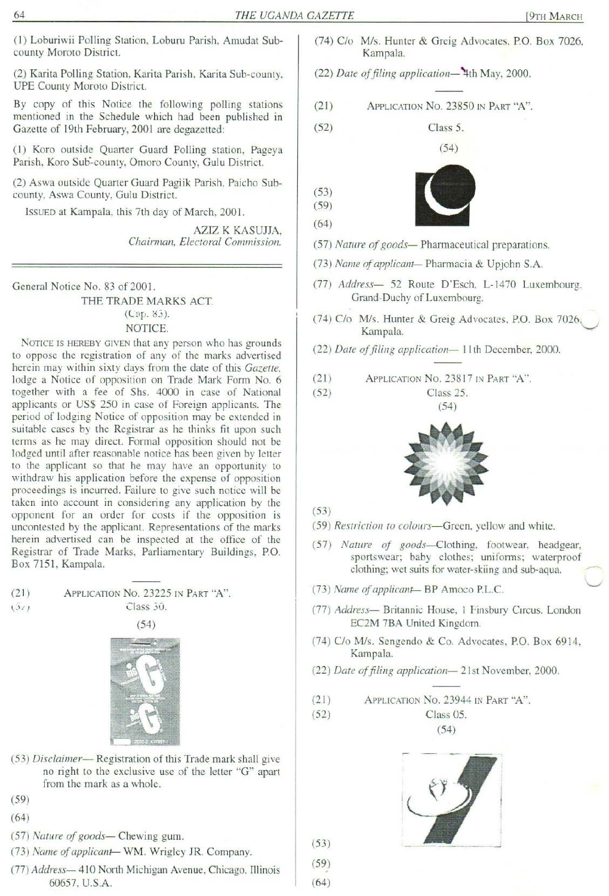(1) Loburiwii Polling Station, Loburu Parish, Amudat Subcounty Moroto District.

(2) Karita Polling Station, Karita Parish, Karita Sub-county, UPE County Moroto District.

By copy of this Notice the following polling stations mentioned in the Schedule which had been published in Gazette of 19th February, 2001 are degazetted: THE UGA<br>
(1) Loburiwii Polling Station, Loburu Parish, Amudat Sub-<br>
(2) Karita Polling Station, Karita Parish, Karita Sub-county,<br>
UPE County Moroto District.<br>
By copy of this Notice the following polling stations<br>
mention THE UGA<br>
(1) Loburiwii Polling Station, Loburu Parish, Amudat Sub-<br>
county Moroto District.<br>
(2) Karita Polling Station, Karita Parish, Karita Sub-county,<br>
UPE County Moroto District.<br>
By copy of this Notice the following

(1) Koro outside Quarter Guard Polling station, Pageya Parish, Koro Sub-county, Omoro County, Gulu District.

(2) Aswa outside Quarter Guard Pagiik Parish, Paicho Subcounty, Aswa County, Gulu District.

IssuED at Kampala, this 7th day of March, 2001.

AZIZ K KASUJJA, Chairman, Electoral Commission.

General Notice No. 83 of 2001.

THE TRADE MARKS ACT. (Cap. 85). NOTICE.

NOTICE IS HEREBY GIVEN that any person who has grounds to oppose the registration of any of the marks advertised herein may within sixty days from the date of this Gazette, lodge a Notice of opposition on Trade Mark Form No. 6 together with a fee of Shs. 4000 in case of National applicants or US\$ 250 in case of Foreign applicants. The period of lodging Notice of opposition may be extended in suitable cases by the Registrar as he thinks fit upon such terms as he may direct. Formal opposition should not be lodged until after reasonable notice has been given by letter to the applicant so that he may have an opportunity to withdraw his application before the expense of opposition proceedings is incurred. Failure to give such notice will be taken into account in considering any application by the opponent for an order for costs if the opposition is uncontested by the applicant. Representations of the marks uncontested by the applicant. Representations of the marks<br>herein advertised can be inspected at the office of the<br>Registrar of Trade Marks, Parliamentary Buildings, P.O.<br>Box 7151, Kampala. Registrar of Trade Marks, Parliamentary Buildings, P.O. Box 7151, Kampala.

(21) **APPLICATION NO. 23225 IN PART "A".**  

$$
(5z)
$$
 Class 30.

 $(54)$ 



- gistration of this T<br>gistration of this T<br>exclusive use of<br>as a whole.<br>— Chewing gum.<br>— WM. Wrigley<br>orth Michigan Aver. (53) Disclaimer— Registration of this Trade mark shall give no right to the exclusive use of the letter "G" apart from the mark as a whole.
- (59)
- (64)
- (57) Nature of goods— Chewing gum.
- (73) Name of applicant— WM. Wrigley JR. Company.
- (77) Address— 410 North Michigan Avenue, Chicago, Illinois 60657, U.S.A.
- (74) Clo M/s. Hunter & Greig Advocates, P.O. Box 7026, Kampala.
- (22) Date of filing application—"4th May, 2000.
- (21) APPLICATION No. 23850 IN PART "A".

(52) Class 5. <sup>|</sup>





(59) (64)

(53)

- (57) Nature of goods— Pharmaceutical preparations.
- (73) Name of applicant— Pharmacia & Upjohn S.A.
- (77) Address— 52 Route D'Esch, L-1470 Luxembourg, Grand-Duchy of Luxembourg.
- (74) C/o M/s. Hunter & Greig Advocates, P.O. Box 7026,<br>Kampala.<br>(22) Date of filing application—11th December, 2000.
- (22) Date of filing application— 11th December, 2000.
- (21) APPLICATION No. 23817 IN PART "A".
- (52) Class 25.  $(54)$



#### (53)

- (59) Restriction to colours—Green, yellow and white.
- (57) Nature of goods—Clothing, footwear, headgear, sportswear; baby clothes; uniforms; waterproof clothing; wet suits for water-skiing and sub-aqua.
- (73) Name of applicant-BP Amoco P.L.C.
- (77) Address— Britannic House, <sup>i</sup> Finsbury Circus, London EC2M 7BA United Kingdom.
- (74) C/o M/s. Sengendo & Co. Advocates, P.O. Box 6914,<br>Kampala.<br>(22) Date of filing application—21st November, 2000. Kampala.
- (22) Date of filing application— 21st November, 2000.
- (21) APPLICATION No. 23944 IN PART "A".

(52) Class 05.

(54)



(53)